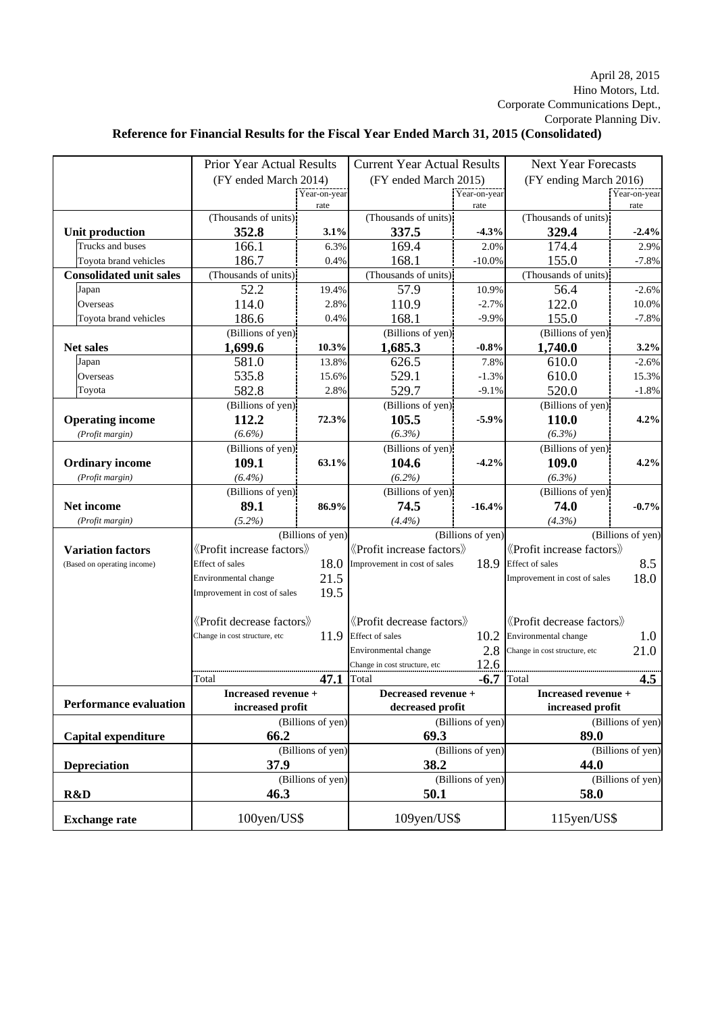## Hino Motors, Ltd. April 28, 2015 Corporate Communications Dept., Corporate Planning Div.

## **Reference for Financial Results for the Fiscal Year Ended March 31, 2015 (Consolidated)**

|                                | Prior Year Actual Results     |                   | <b>Current Year Actual Results</b> |           | <b>Next Year Forecasts</b>                                                  |          |
|--------------------------------|-------------------------------|-------------------|------------------------------------|-----------|-----------------------------------------------------------------------------|----------|
|                                | (FY ended March 2014)         |                   | (FY ended March 2015)              |           | (FY ending March 2016)                                                      |          |
|                                | Year-on-year                  |                   | Year-on-year                       |           | Year-on-year                                                                |          |
|                                |                               | rate              |                                    | rate      |                                                                             | rate     |
|                                | (Thousands of units)          |                   | (Thousands of units)               |           | (Thousands of units)                                                        |          |
| <b>Unit production</b>         | 352.8                         | 3.1%              | 337.5                              | $-4.3%$   | 329.4                                                                       | $-2.4%$  |
| Trucks and buses               | 166.1                         | 6.3%              | 169.4                              | 2.0%      | 174.4                                                                       | 2.9%     |
| Toyota brand vehicles          | 186.7                         | 0.4%              | 168.1                              | $-10.0\%$ | 155.0                                                                       | $-7.8%$  |
| <b>Consolidated unit sales</b> | (Thousands of units)          |                   | (Thousands of units)               |           | (Thousands of units)                                                        |          |
| Japan                          | 52.2                          | 19.4%             | 57.9                               | 10.9%     | 56.4                                                                        | $-2.6%$  |
| Overseas                       | 114.0                         | 2.8%              | 110.9                              | $-2.7%$   | 122.0                                                                       | 10.0%    |
| Toyota brand vehicles          | 186.6                         | 0.4%              | 168.1                              | $-9.9%$   | 155.0                                                                       | $-7.8%$  |
|                                | (Billions of yen)             |                   | (Billions of yen)                  |           | (Billions of yen)                                                           |          |
| <b>Net sales</b>               | 1,699.6                       | 10.3%             | 1,685.3                            | $-0.8\%$  | 1,740.0                                                                     | 3.2%     |
| Japan                          | 581.0                         | 13.8%             | 626.5                              | 7.8%      | 610.0                                                                       | $-2.6%$  |
| Overseas                       | 535.8                         | 15.6%             | 529.1                              | $-1.3%$   | 610.0                                                                       | 15.3%    |
| Toyota                         | 582.8                         | 2.8%              | 529.7                              | $-9.1%$   | 520.0                                                                       | $-1.8%$  |
|                                | (Billions of yen)             |                   | (Billions of yen)                  |           | (Billions of yen)                                                           |          |
| <b>Operating income</b>        | 112.2                         | 72.3%             | 105.5                              | $-5.9%$   | 110.0                                                                       | 4.2%     |
| (Profit margin)                | $(6.6\%)$                     |                   | (6.3%)                             |           | $(6.3\%)$                                                                   |          |
|                                | (Billions of yen)             |                   | (Billions of yen)                  |           | (Billions of yen)                                                           |          |
| <b>Ordinary income</b>         | 109.1                         | 63.1%             | 104.6                              | $-4.2%$   | 109.0                                                                       | 4.2%     |
| (Profit margin)                | (6.4%)                        |                   | $(6.2\%)$                          |           | $(6.3\%)$                                                                   |          |
|                                | (Billions of yen)             |                   | (Billions of yen)                  |           | (Billions of yen)                                                           |          |
| Net income                     | 89.1                          | 86.9%             | 74.5                               | $-16.4\%$ | 74.0                                                                        | $-0.7\%$ |
| (Profit margin)                | $(5.2\%)$                     |                   | (4.4%)                             |           | (4.3%)                                                                      |          |
|                                | (Billions of yen)             |                   | (Billions of yen)                  |           | (Billions of yen)                                                           |          |
| <b>Variation factors</b>       | «Profit increase factors»     |                   | «Profit increase factors»          |           | <b><i><u></u></i></b> <i><u>Profit increase factors</u></i>                 |          |
| (Based on operating income)    | Effect of sales               | 18.0              | Improvement in cost of sales       |           | 18.9 Effect of sales                                                        | 8.5      |
|                                | Environmental change          | 21.5              |                                    |           | Improvement in cost of sales                                                | 18.0     |
|                                | Improvement in cost of sales  | 19.5              |                                    |           |                                                                             |          |
|                                |                               |                   |                                    |           |                                                                             |          |
|                                | «Profit decrease factors»     |                   | «Profit decrease factors»          |           | <b><i><u></u></i></b> <i><u>Profit</u></i> decrease factors <b><i>x</i></b> |          |
|                                | Change in cost structure, etc | 11.9              | <b>Effect</b> of sales             | 10.2      | Environmental change                                                        | 1.0      |
|                                |                               |                   | Environmental change               | 2.8       | Change in cost structure, etc                                               | 21.0     |
|                                |                               |                   | Change in cost structure, etc      | 12.6      |                                                                             |          |
|                                | Total                         | 47.1              | Total                              | $-6.7$    | Total                                                                       | 4.5      |
|                                | Increased revenue +           |                   | Decreased revenue +                |           | Increased revenue +                                                         |          |
| <b>Performance evaluation</b>  | increased profit              |                   | decreased profit                   |           | increased profit                                                            |          |
|                                |                               | (Billions of yen) | (Billions of yen)                  |           | (Billions of yen)                                                           |          |
| <b>Capital expenditure</b>     | 66.2                          |                   | 69.3                               |           | 89.0                                                                        |          |
|                                |                               | (Billions of yen) | (Billions of yen)                  |           | (Billions of yen)                                                           |          |
| Depreciation                   | 37.9                          |                   | 38.2                               |           | 44.0                                                                        |          |
|                                |                               | (Billions of yen) | (Billions of yen)                  |           | (Billions of yen)                                                           |          |
| R&D                            | 46.3                          |                   | 50.1                               |           | 58.0                                                                        |          |
| <b>Exchange rate</b>           | 100yen/US\$                   |                   | 109yen/US\$                        |           | 115yen/US\$                                                                 |          |
|                                |                               |                   |                                    |           |                                                                             |          |